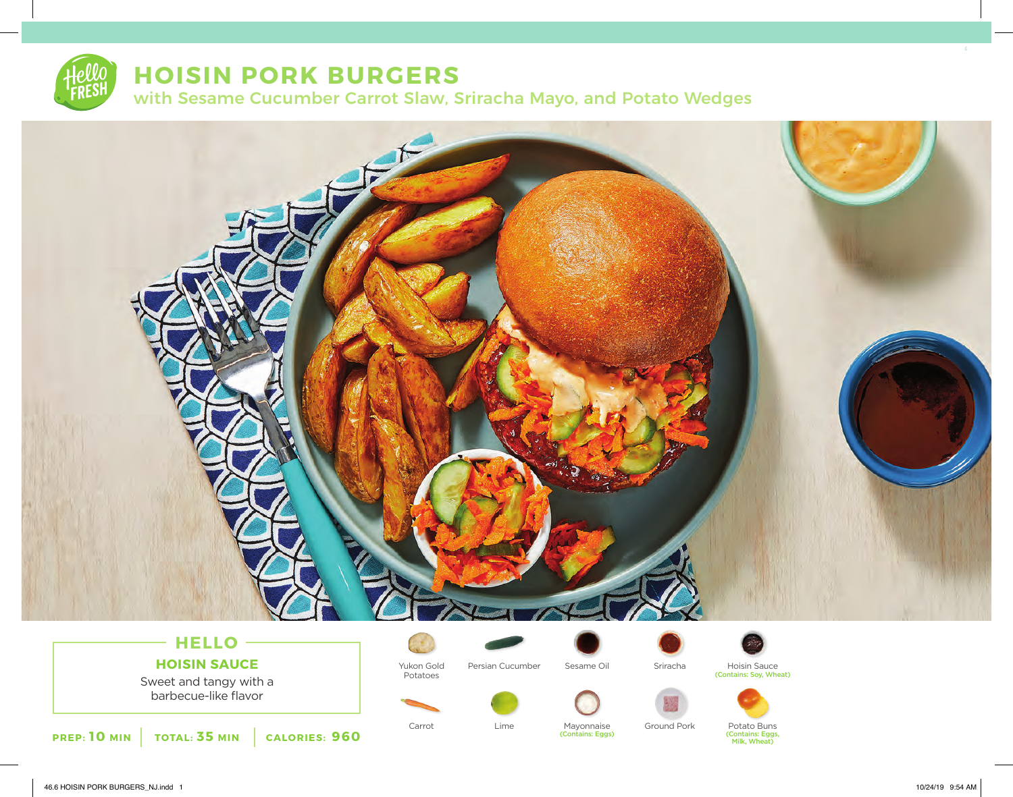

# **HOISIN PORK BURGERS**

with Sesame Cucumber Carrot Slaw, Sriracha Mayo, and Potato Wedges



## **HOISIN SAUCE**

Sweet and tangy with a barbecue-like flavor



Potatoes

Persian Cucumber





(Contains: Soy, Wheat)



**PREP: 10 MIN TOTAL: 35 MIN CALORIES: 960**

Carrot Lime Mayonnaise

(Contains: Eggs)

Ground Pork Potato Buns

(Contains: Eggs, Milk, Wheat)